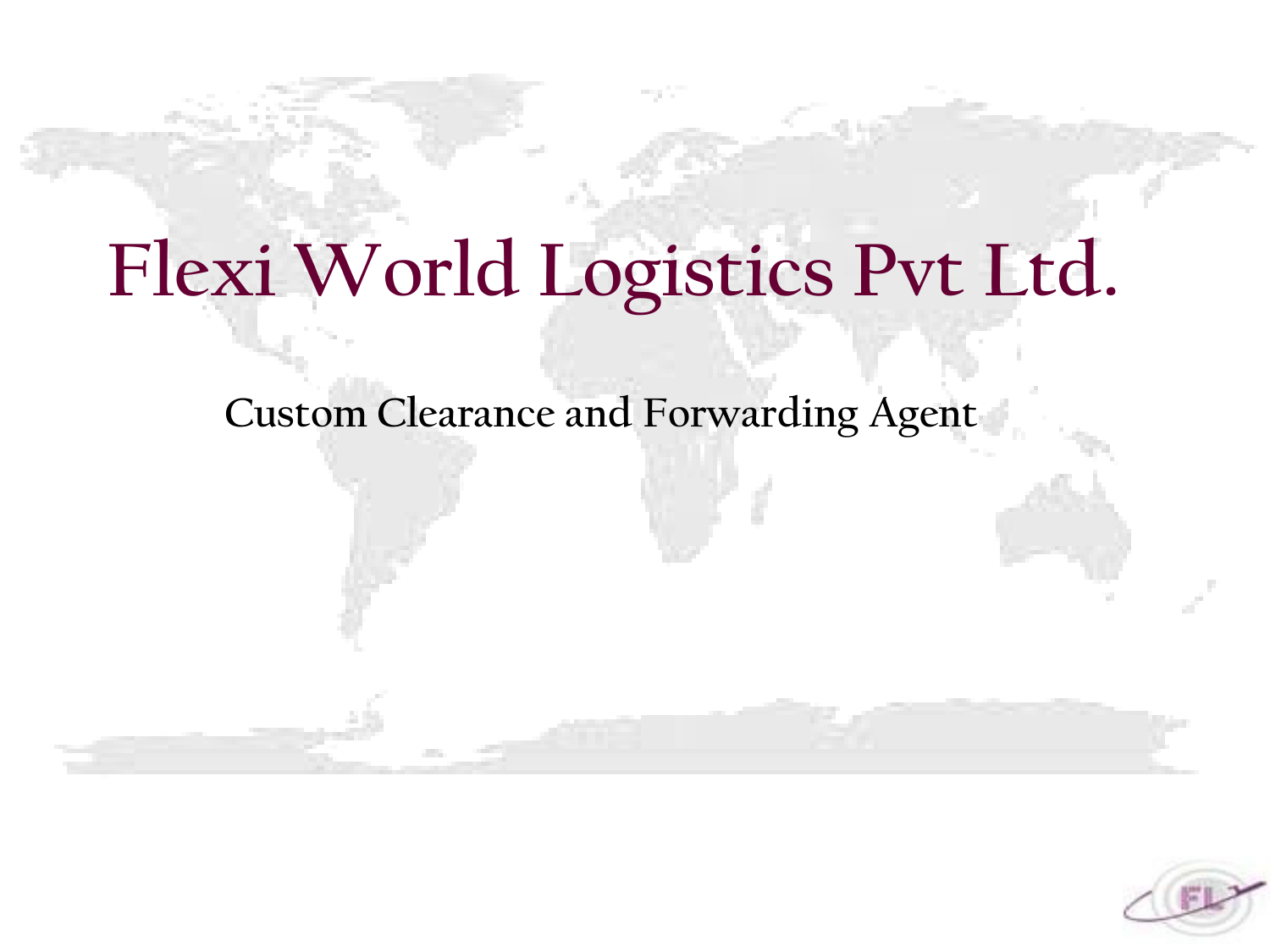# **Flexi World Logistics Pvt Ltd.**

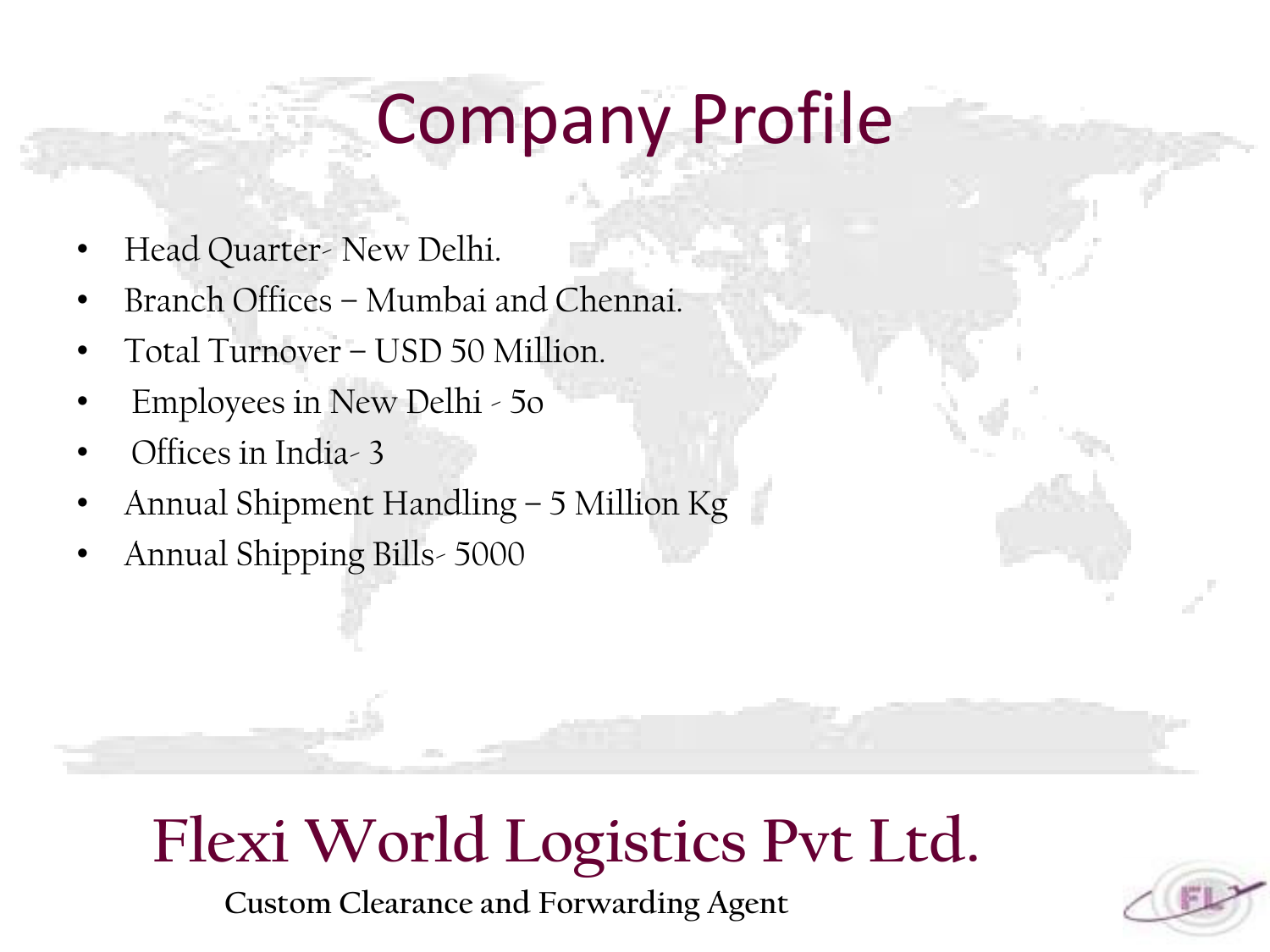# Company Profile

- Head Quarter- New Delhi.
- Branch Offices Mumbai and Chennai.
- Total Turnover USD 50 Million.
- Employees in New Delhi 5o
- Offices in India- 3
- Annual Shipment Handling 5 Million Kg
- Annual Shipping Bills- 5000

### **Flexi World Logistics Pvt Ltd.**

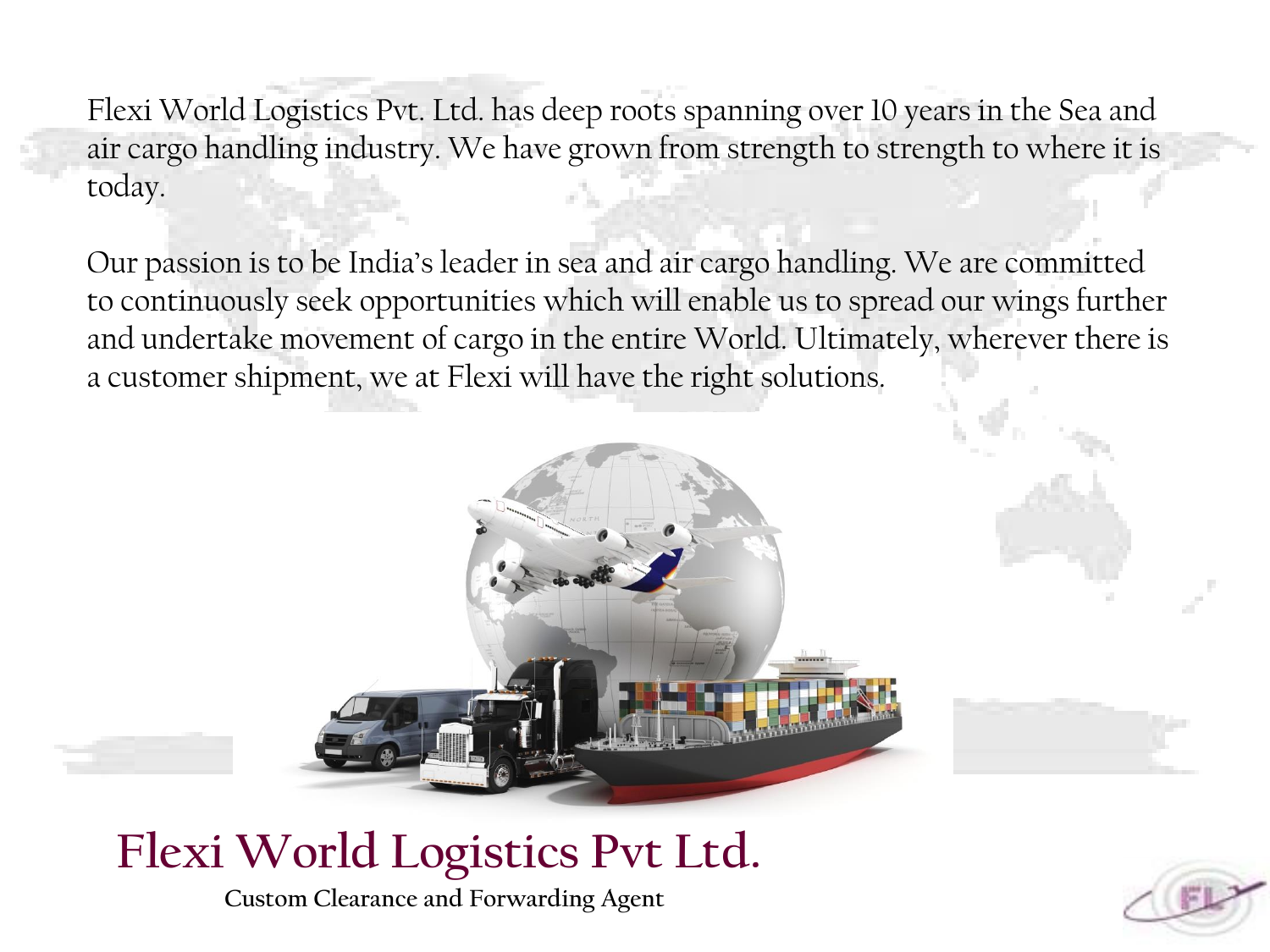Flexi World Logistics Pvt. Ltd. has deep roots spanning over 10 years in the Sea and air cargo handling industry. We have grown from strength to strength to where it is today.

Our passion is to be India's leader in sea and air cargo handling. We are committed to continuously seek opportunities which will enable us to spread our wings further and undertake movement of cargo in the entire World. Ultimately, wherever there is a customer shipment, we at Flexi will have the right solutions.



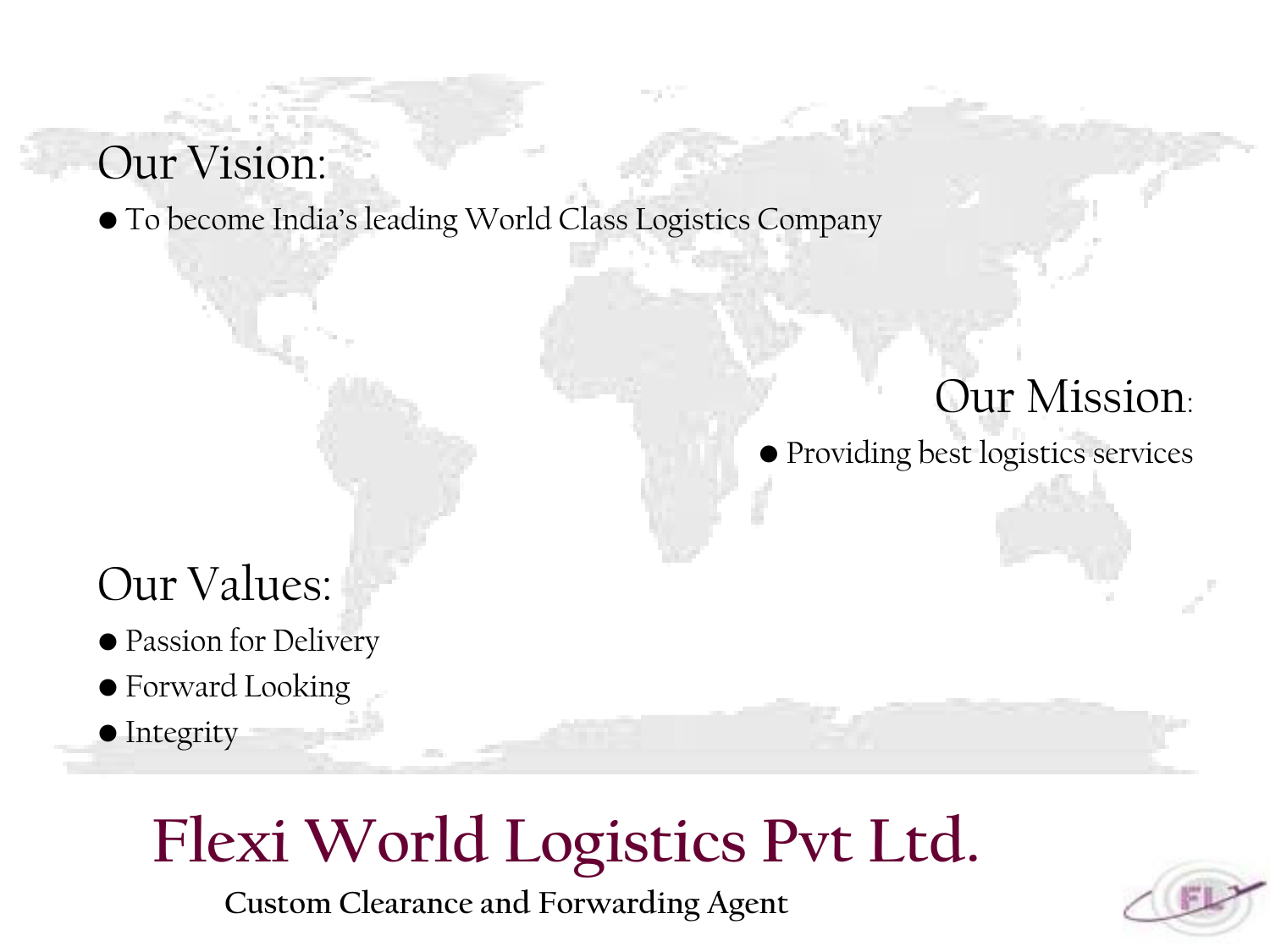#### Our Vision:

• To become India's leading World Class Logistics Company

#### Our Mission:

• Providing best logistics services

#### Our Values:

- Passion for Delivery
- Forward Looking
- Integrity

## **Flexi World Logistics Pvt Ltd.**

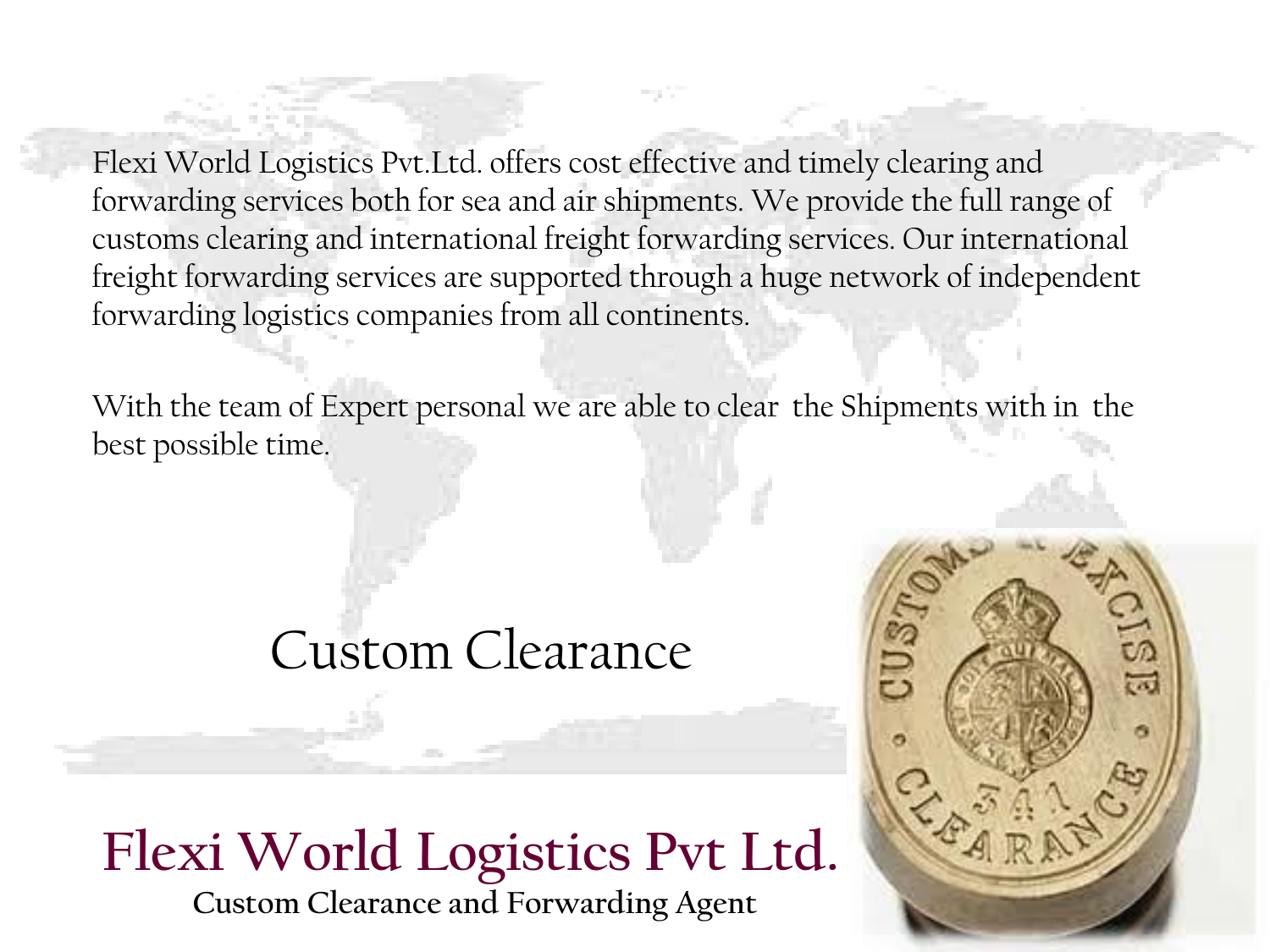Flexi World Logistics Pvt.Ltd. offers cost effective and timely clearing and forwarding services both for sea and air shipments. We provide the full range of customs clearing and international freight forwarding services. Our international freight forwarding services are supported through a huge network of independent forwarding logistics companies from all continents.

With the team of Expert personal we are able to clear the Shipments with in the best possible time.

#### Custom Clearance

#### **Flexi World Logistics Pvt Ltd. Custom Clearance and Forwarding Agent**

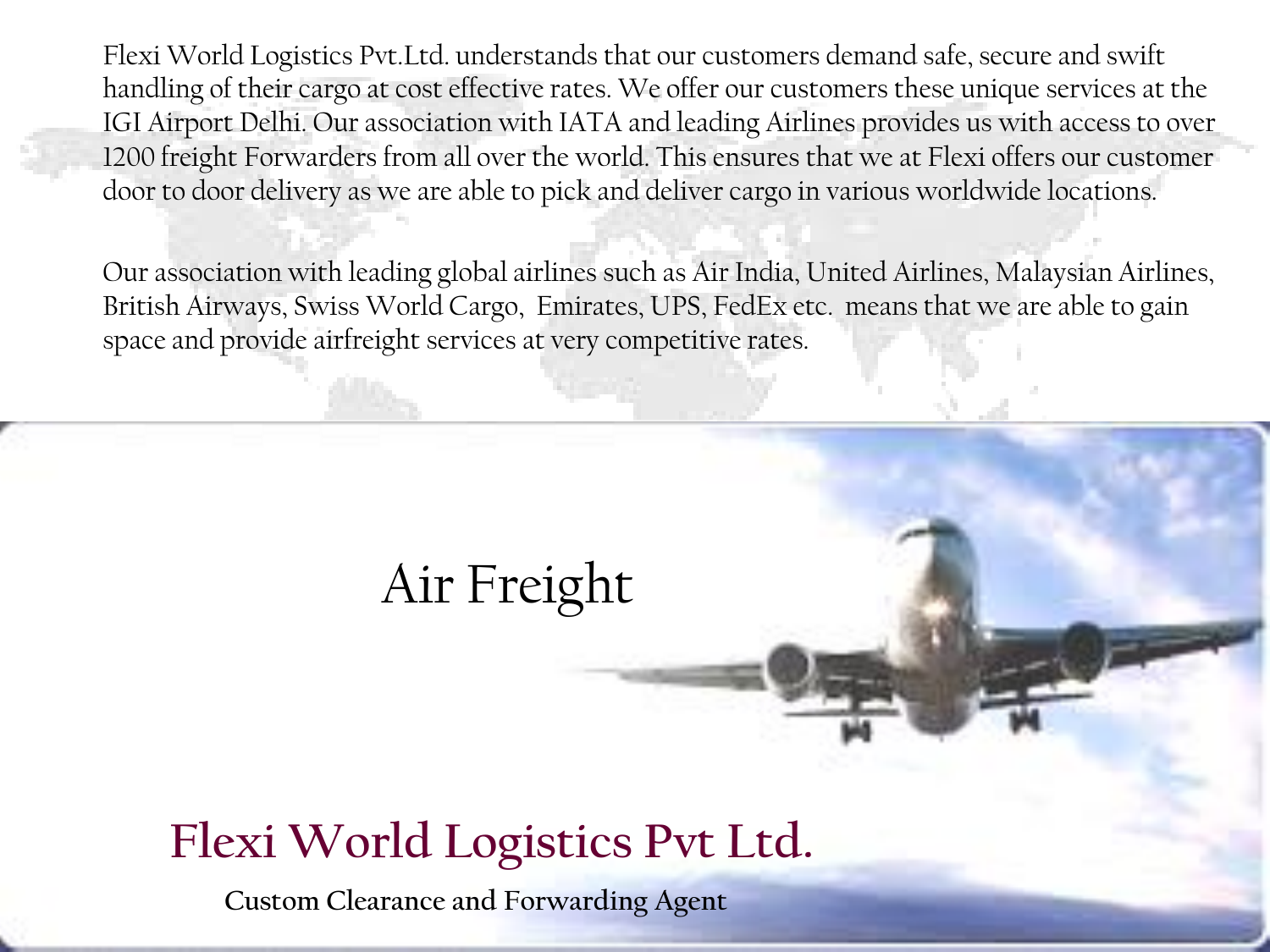Flexi World Logistics Pvt.Ltd. understands that our customers demand safe, secure and swift handling of their cargo at cost effective rates. We offer our customers these unique services at the IGI Airport Delhi. Our association with IATA and leading Airlines provides us with access to over 1200 freight Forwarders from all over the world. This ensures that we at Flexi offers our customer door to door delivery as we are able to pick and deliver cargo in various worldwide locations.

Our association with leading global airlines such as Air India, United Airlines, Malaysian Airlines, British Airways, Swiss World Cargo, Emirates, UPS, FedEx etc. means that we are able to gain space and provide airfreight services at very competitive rates.

### Air Freight

#### **Flexi World Logistics Pvt Ltd.**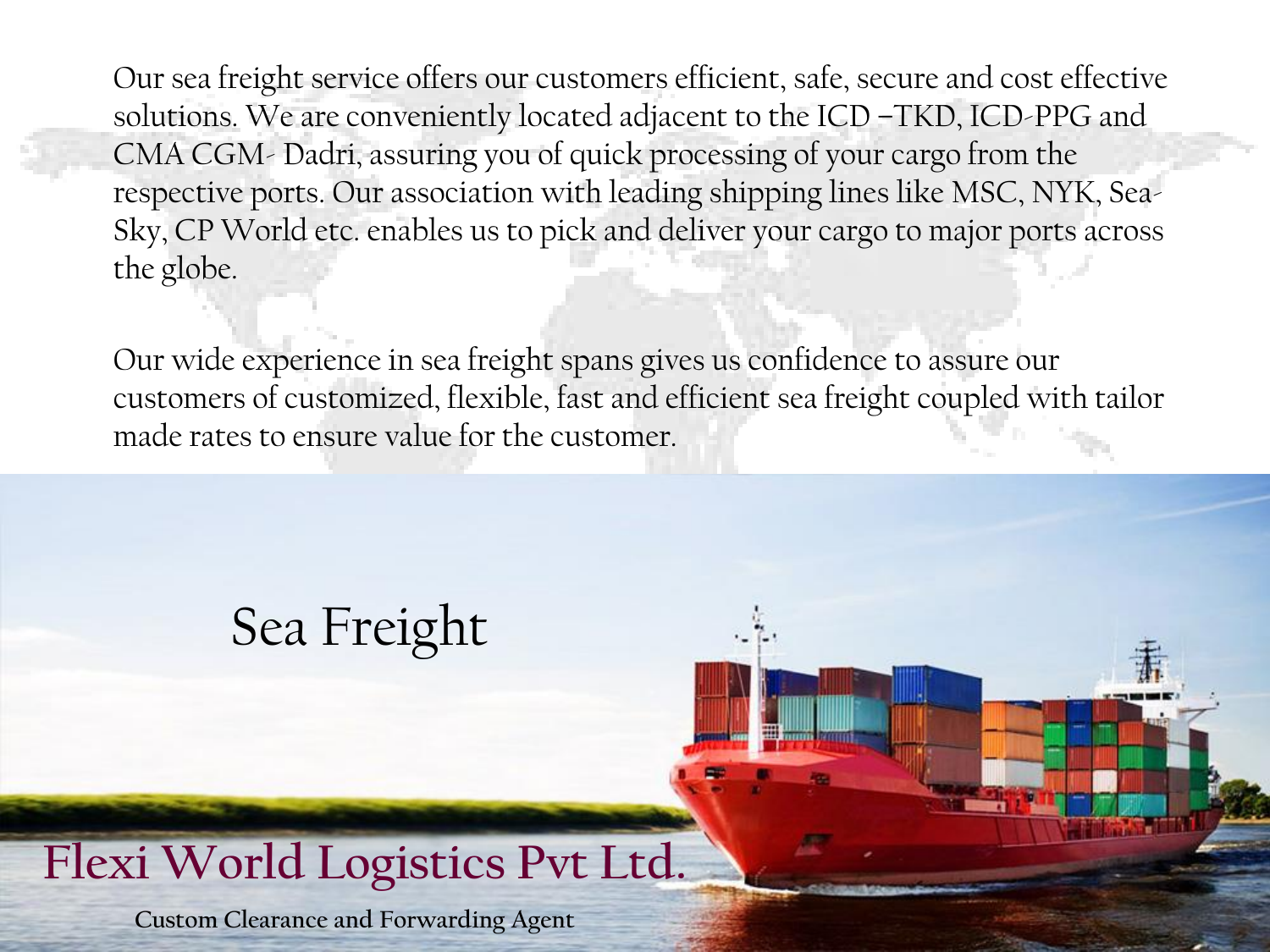Our sea freight service offers our customers efficient, safe, secure and cost effective solutions. We are conveniently located adjacent to the ICD –TKD, ICD-PPG and CMA CGM- Dadri, assuring you of quick processing of your cargo from the respective ports. Our association with leading shipping lines like MSC, NYK, Sea-Sky, CP World etc. enables us to pick and deliver your cargo to major ports across the globe.

Our wide experience in sea freight spans gives us confidence to assure our customers of customized, flexible, fast and efficient sea freight coupled with tailor made rates to ensure value for the customer.

### Sea Freight

#### **Flexi World Logistics Pvt Ltd.**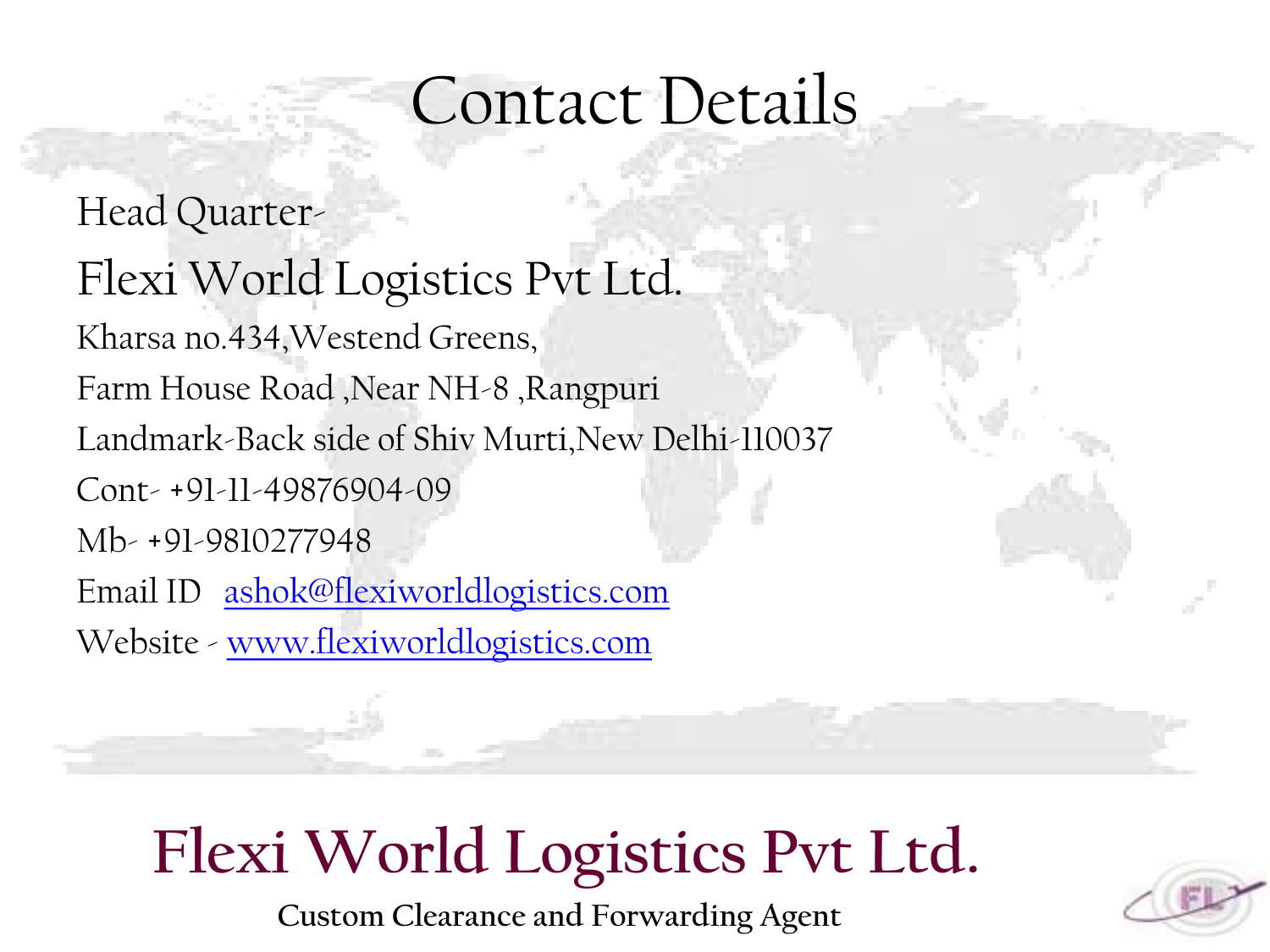### Contact Details

Head Quarter-Flexi World Logistics Pvt Ltd. Kharsa no.434,Westend Greens, Farm House Road ,Near NH-8 ,Rangpuri Landmark-Back side of Shiv Murti,New Delhi-110037 Cont- +91-11-49876904-09 Mb- +91-9810277948 Email ID [ashok@flexiworldlogistics.com](mailto:ashok@flexiworldlogistics.com) Website - [www.flexiworldlogistics.com](http://www.flexilogisticsindia.com/)

## **Flexi World Logistics Pvt Ltd.**